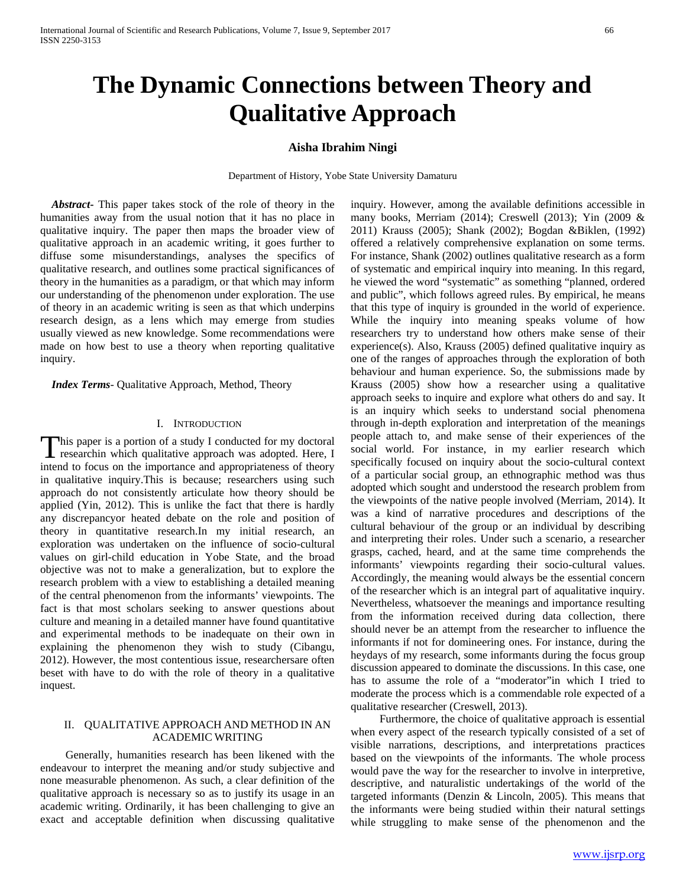# **The Dynamic Connections between Theory and Qualitative Approach**

# **Aisha Ibrahim Ningi**

Department of History, Yobe State University Damaturu

 *Abstract***-** This paper takes stock of the role of theory in the humanities away from the usual notion that it has no place in qualitative inquiry. The paper then maps the broader view of qualitative approach in an academic writing, it goes further to diffuse some misunderstandings, analyses the specifics of qualitative research, and outlines some practical significances of theory in the humanities as a paradigm, or that which may inform our understanding of the phenomenon under exploration. The use of theory in an academic writing is seen as that which underpins research design, as a lens which may emerge from studies usually viewed as new knowledge. Some recommendations were made on how best to use a theory when reporting qualitative inquiry.

 *Index Terms*- Qualitative Approach, Method, Theory

# I. INTRODUCTION

his paper is a portion of a study I conducted for my doctoral This paper is a portion of a study I conducted for my doctoral<br>researchin which qualitative approach was adopted. Here, I intend to focus on the importance and appropriateness of theory in qualitative inquiry.This is because; researchers using such approach do not consistently articulate how theory should be applied (Yin, 2012). This is unlike the fact that there is hardly any discrepancyor heated debate on the role and position of theory in quantitative research.In my initial research, an exploration was undertaken on the influence of socio-cultural values on girl-child education in Yobe State, and the broad objective was not to make a generalization, but to explore the research problem with a view to establishing a detailed meaning of the central phenomenon from the informants' viewpoints. The fact is that most scholars seeking to answer questions about culture and meaning in a detailed manner have found quantitative and experimental methods to be inadequate on their own in explaining the phenomenon they wish to study (Cibangu, 2012). However, the most contentious issue, researchersare often beset with have to do with the role of theory in a qualitative inquest.

# II. QUALITATIVE APPROACH AND METHOD IN AN ACADEMIC WRITING

 Generally, humanities research has been likened with the endeavour to interpret the meaning and/or study subjective and none measurable phenomenon. As such, a clear definition of the qualitative approach is necessary so as to justify its usage in an academic writing. Ordinarily, it has been challenging to give an exact and acceptable definition when discussing qualitative inquiry. However, among the available definitions accessible in many books, Merriam (2014); Creswell (2013); Yin (2009 & 2011) Krauss (2005); Shank (2002); Bogdan &Biklen, (1992) offered a relatively comprehensive explanation on some terms. For instance, Shank (2002) outlines qualitative research as a form of systematic and empirical inquiry into meaning. In this regard, he viewed the word "systematic" as something "planned, ordered and public", which follows agreed rules. By empirical, he means that this type of inquiry is grounded in the world of experience. While the inquiry into meaning speaks volume of how researchers try to understand how others make sense of their experience(s). Also, Krauss (2005) defined qualitative inquiry as one of the ranges of approaches through the exploration of both behaviour and human experience. So, the submissions made by Krauss (2005) show how a researcher using a qualitative approach seeks to inquire and explore what others do and say. It is an inquiry which seeks to understand social phenomena through in-depth exploration and interpretation of the meanings people attach to, and make sense of their experiences of the social world. For instance, in my earlier research which specifically focused on inquiry about the socio-cultural context of a particular social group, an ethnographic method was thus adopted which sought and understood the research problem from the viewpoints of the native people involved (Merriam, 2014). It was a kind of narrative procedures and descriptions of the cultural behaviour of the group or an individual by describing and interpreting their roles. Under such a scenario, a researcher grasps, cached, heard, and at the same time comprehends the informants' viewpoints regarding their socio-cultural values. Accordingly, the meaning would always be the essential concern of the researcher which is an integral part of aqualitative inquiry. Nevertheless, whatsoever the meanings and importance resulting from the information received during data collection, there should never be an attempt from the researcher to influence the informants if not for domineering ones. For instance, during the heydays of my research, some informants during the focus group discussion appeared to dominate the discussions. In this case, one has to assume the role of a "moderator"in which I tried to moderate the process which is a commendable role expected of a qualitative researcher (Creswell, 2013).

 Furthermore, the choice of qualitative approach is essential when every aspect of the research typically consisted of a set of visible narrations, descriptions, and interpretations practices based on the viewpoints of the informants. The whole process would pave the way for the researcher to involve in interpretive, descriptive, and naturalistic undertakings of the world of the targeted informants (Denzin & Lincoln, 2005). This means that the informants were being studied within their natural settings while struggling to make sense of the phenomenon and the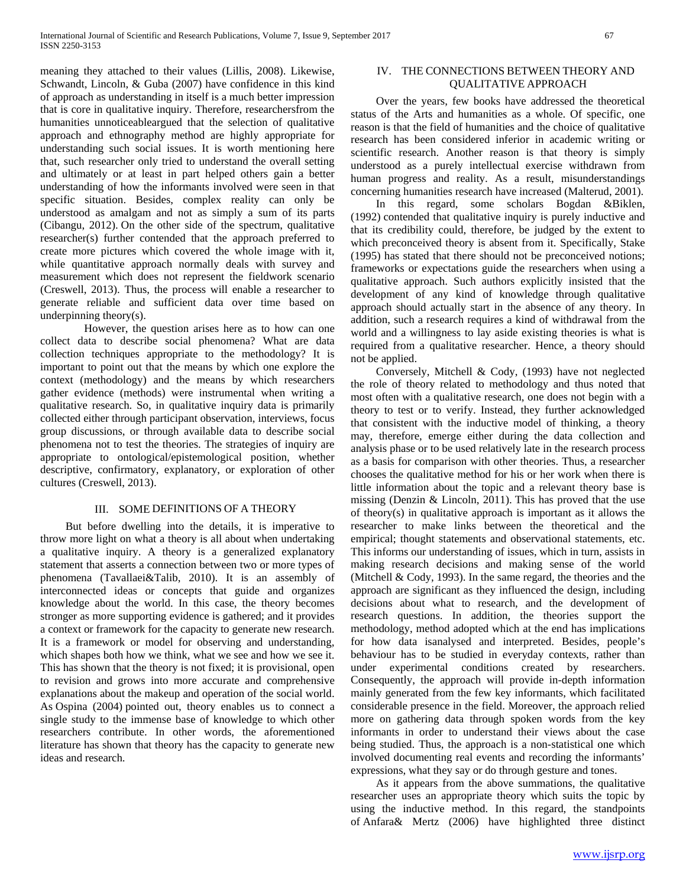meaning they attached to their values (Lillis, 2008). Likewise, Schwandt, Lincoln, & Guba (2007) have confidence in this kind of approach as understanding in itself is a much better impression that is core in qualitative inquiry. Therefore, researchersfrom the humanities unnoticeableargued that the selection of qualitative approach and ethnography method are highly appropriate for understanding such social issues. It is worth mentioning here that, such researcher only tried to understand the overall setting and ultimately or at least in part helped others gain a better understanding of how the informants involved were seen in that specific situation. Besides, complex reality can only be understood as amalgam and not as simply a sum of its parts (Cibangu, 2012). On the other side of the spectrum, qualitative researcher(s) further contended that the approach preferred to create more pictures which covered the whole image with it, while quantitative approach normally deals with survey and measurement which does not represent the fieldwork scenario (Creswell, 2013). Thus, the process will enable a researcher to generate reliable and sufficient data over time based on underpinning theory(s).

 However, the question arises here as to how can one collect data to describe social phenomena? What are data collection techniques appropriate to the methodology? It is important to point out that the means by which one explore the context (methodology) and the means by which researchers gather evidence (methods) were instrumental when writing a qualitative research. So, in qualitative inquiry data is primarily collected either through participant observation, interviews, focus group discussions, or through available data to describe social phenomena not to test the theories. The strategies of inquiry are appropriate to ontological/epistemological position, whether descriptive, confirmatory, explanatory, or exploration of other cultures (Creswell, 2013).

# III. SOME DEFINITIONS OF A THEORY

 But before dwelling into the details, it is imperative to throw more light on what a theory is all about when undertaking a qualitative inquiry. A theory is a generalized explanatory statement that asserts a connection between two or more types of phenomena (Tavallaei&Talib, 2010). It is an assembly of interconnected ideas or concepts that guide and organizes knowledge about the world. In this case, the theory becomes stronger as more supporting evidence is gathered; and it provides a context or framework for the capacity to generate new research. It is a framework or model for observing and understanding, which shapes both how we think, what we see and how we see it. This has shown that the theory is not fixed; it is provisional, open to revision and grows into more accurate and comprehensive explanations about the makeup and operation of the social world. As Ospina (2004) pointed out, theory enables us to connect a single study to the immense base of knowledge to which other researchers contribute. In other words, the aforementioned literature has shown that theory has the capacity to generate new ideas and research.

# IV. THE CONNECTIONS BETWEEN THEORY AND QUALITATIVE APPROACH

 Over the years, few books have addressed the theoretical status of the Arts and humanities as a whole. Of specific, one reason is that the field of humanities and the choice of qualitative research has been considered inferior in academic writing or scientific research. Another reason is that theory is simply understood as a purely intellectual exercise withdrawn from human progress and reality. As a result, misunderstandings concerning humanities research have increased (Malterud, 2001).

 In this regard, some scholars Bogdan &Biklen, (1992) contended that qualitative inquiry is purely inductive and that its credibility could, therefore, be judged by the extent to which preconceived theory is absent from it. Specifically, Stake (1995) has stated that there should not be preconceived notions; frameworks or expectations guide the researchers when using a qualitative approach. Such authors explicitly insisted that the development of any kind of knowledge through qualitative approach should actually start in the absence of any theory. In addition, such a research requires a kind of withdrawal from the world and a willingness to lay aside existing theories is what is required from a qualitative researcher. Hence, a theory should not be applied.

 Conversely, Mitchell & Cody, (1993) have not neglected the role of theory related to methodology and thus noted that most often with a qualitative research, one does not begin with a theory to test or to verify. Instead, they further acknowledged that consistent with the inductive model of thinking, a theory may, therefore, emerge either during the data collection and analysis phase or to be used relatively late in the research process as a basis for comparison with other theories. Thus, a researcher chooses the qualitative method for his or her work when there is little information about the topic and a relevant theory base is missing (Denzin & Lincoln, 2011). This has proved that the use of theory(s) in qualitative approach is important as it allows the researcher to make links between the theoretical and the empirical; thought statements and observational statements, etc. This informs our understanding of issues, which in turn, assists in making research decisions and making sense of the world (Mitchell & Cody, 1993). In the same regard, the theories and the approach are significant as they influenced the design, including decisions about what to research, and the development of research questions. In addition, the theories support the methodology, method adopted which at the end has implications for how data isanalysed and interpreted. Besides, people's behaviour has to be studied in everyday contexts, rather than under experimental conditions created by researchers. Consequently, the approach will provide in-depth information mainly generated from the few key informants, which facilitated considerable presence in the field. Moreover, the approach relied more on gathering data through spoken words from the key informants in order to understand their views about the case being studied. Thus, the approach is a non-statistical one which involved documenting real events and recording the informants' expressions, what they say or do through gesture and tones.

 As it appears from the above summations, the qualitative researcher uses an appropriate theory which suits the topic by using the inductive method. In this regard, the standpoints of Anfara& Mertz (2006) have highlighted three distinct